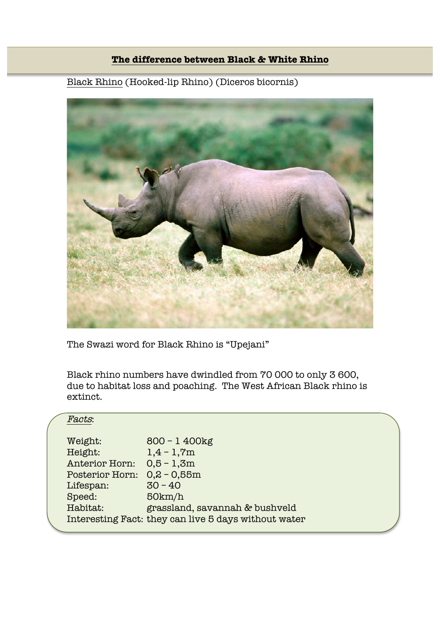## **The difference between Black & White Rhino**

## Black Rhino (Hooked-lip Rhino) (Diceros bicornis)



The Swazi word for Black Rhino is "Upejani"

Black rhino numbers have dwindled from 70 000 to only 3 600, due to habitat loss and poaching. The West African Black rhino is extinct.

## Facts:

| Weight:               | $800 - 1400$ kg                                      |
|-----------------------|------------------------------------------------------|
| Height:               | $1,4 - 1,7m$                                         |
| <b>Anterior Horn:</b> | $0,5 - 1,3m$                                         |
| Posterior Horn:       | $0,2 - 0,55m$                                        |
| Lifespan:             | $30 - 40$                                            |
| Speed:                | 50km/h                                               |
| Habitat:              | grassland, savannah & bushveld                       |
|                       | Interesting Fact: they can live 5 days without water |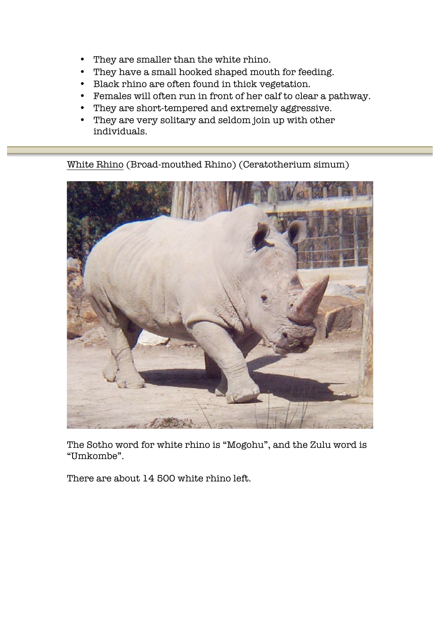- They are smaller than the white rhino.
- They have a small hooked shaped mouth for feeding.
- Black rhino are often found in thick vegetation.
- Females will often run in front of her calf to clear a pathway.
- They are short-tempered and extremely aggressive.
- They are very solitary and seldom join up with other individuals.

White Rhino (Broad-mouthed Rhino) (Ceratotherium simum)



The Sotho word for white rhino is "Mogohu", and the Zulu word is "Umkombe".

There are about 14 500 white rhino left.